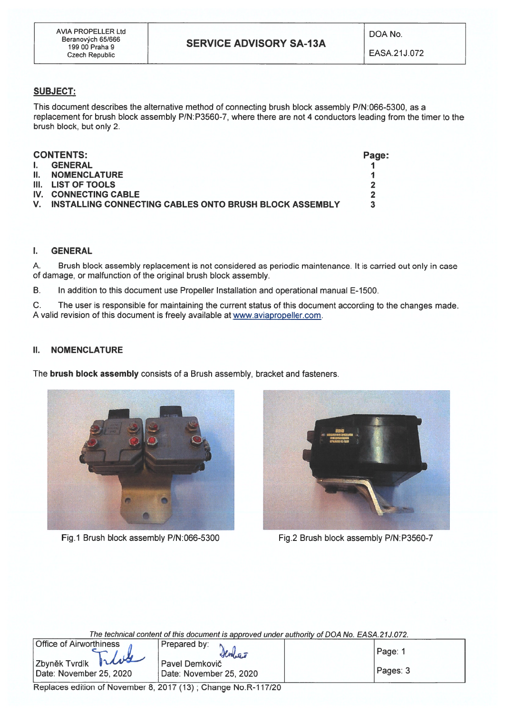### SUBJECT:

This document describes the alternative method of connecting brush block assembly PIN:066-5300, as <sup>a</sup> replacement for brush block assembly P/N:P3560-7, where there are not 4 conductors leading from the timer to the brush block, but only 2.

| <b>CONTENTS:</b> |                                                           | Page: |
|------------------|-----------------------------------------------------------|-------|
| . I.             | <b>GENERAL</b>                                            |       |
|                  | <b>II. NOMENCLATURE</b>                                   |       |
|                  | III. LIST OF TOOLS                                        | כי    |
|                  | IV. CONNECTING CABLE                                      | 7     |
|                  | V. INSTALLING CONNECTING CABLES ONTO BRUSH BLOCK ASSEMBLY |       |

#### I. GENERAL

A. Brush block assembly replacement is not considered as periodic maintenance. It is carried out only in case of damage, or malfunction of the originai brush block assembly.

B. In addition to this document use Propeller Installation and operational manual E-1500.

C. The user is responsible for maintaíning the current status of this document according to the changes made. A valid revision of this document is freely available at www.aviapropeller.com.

#### II. NOMENCLATURE

The brush block assembly consists of <sup>a</sup> Brush assembly, bracket and fasteners.



Fig.1 Brush block assembly P/N:066-5300



Fig.2 Brush block assembly P/N:P3560-7

The technical content of this document is approved under authority of DOA No. EASA.21J. 072.

| <b>Office of Airworthiness</b>                          | Prepared by:<br>Sentres                   | Page:    |
|---------------------------------------------------------|-------------------------------------------|----------|
| rhus<br><b>Zbyněk Tyrdík</b><br>Date: November 25, 2020 | Pavel Demkovič<br>Date: November 25, 2020 | Pages: 3 |

Replaces edition of November 8, 2017 (13); Change No.R-117/20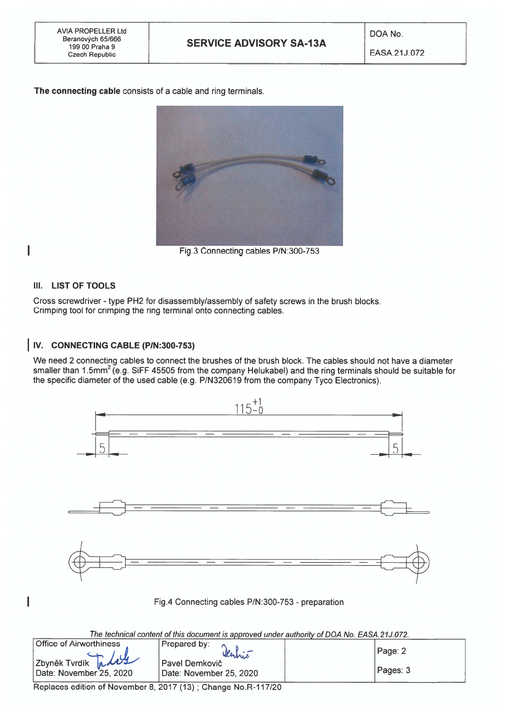AVIA PROPELLER Ltd DOA No. Beranových 65/666

The connecting cable consists of <sup>a</sup> cable and ring terminals.



Fig.3 Connecting cables P/N:300-753

#### III. LIST OF TOOLS

I

Cross screwdriver - type PH2 for disassembly/assembly of safety screws in the brush blocks. Crimping tool for crimping the ring terminal onto connecting cables.

## IV. CONNECTING CABLE (PIN:300-753)

We need 2 connecting cables to connect the brushes of the brush block. The cables should not have <sup>a</sup> diameter smaller than 1.5mm<sup>2</sup> (e.g. SiFF 45505 from the company Helukabel) and the ring terminals should be suitable for the specific diameter of the used cable (e.g. P/N320619 from the company Tyco Electronics).



| <b>Office of Airworthiness</b>                 | Prepared by:<br>Senhie                    | Page: 2  |
|------------------------------------------------|-------------------------------------------|----------|
| Zbyněk Tvrdík Mally<br>Date: November 25, 2020 | Pavel Demkovič<br>Date: November 25, 2020 | Pages: 3 |

Replaces edition of November 8, 2017 (13); Change No.R-117/20